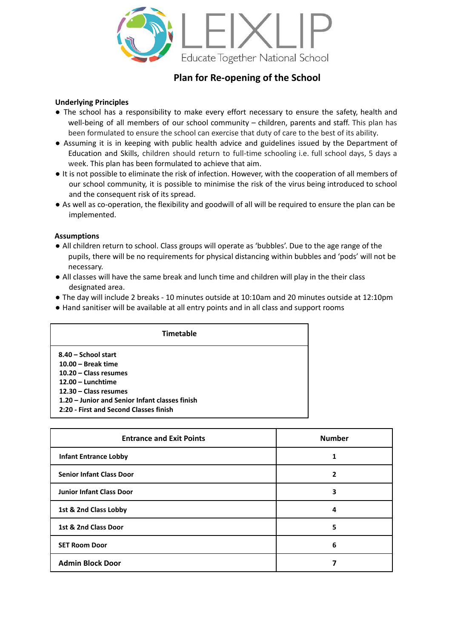

# **Plan for Re-opening of the School**

### **Underlying Principles**

- The school has a responsibility to make every effort necessary to ensure the safety, health and well-being of all members of our school community – children, parents and staff. This plan has been formulated to ensure the school can exercise that duty of care to the best of its ability.
- Assuming it is in keeping with public health advice and guidelines issued by the Department of Education and Skills, children should return to full-time schooling i.e. full school days, 5 days a week. This plan has been formulated to achieve that aim.
- It is not possible to eliminate the risk of infection. However, with the cooperation of all members of our school community, it is possible to minimise the risk of the virus being introduced to school and the consequent risk of its spread.
- As well as co-operation, the flexibility and goodwill of all will be required to ensure the plan can be implemented.

#### **Assumptions**

- All children return to school. Class groups will operate as 'bubbles'. Due to the age range of the pupils, there will be no requirements for physical distancing within bubbles and 'pods' will not be necessary.
- All classes will have the same break and lunch time and children will play in the their class designated area.
- The day will include 2 breaks 10 minutes outside at 10:10am and 20 minutes outside at 12:10pm
- Hand sanitiser will be available at all entry points and in all class and support rooms

| <b>Timetable</b>                               |  |  |  |  |
|------------------------------------------------|--|--|--|--|
| 8.40 - School start                            |  |  |  |  |
| $10.00 -$ Break time                           |  |  |  |  |
| $10.20 - Class$ resumes                        |  |  |  |  |
| $12.00 -$ Lunchtime                            |  |  |  |  |
| 12.30 - Class resumes                          |  |  |  |  |
| 1.20 – Junior and Senior Infant classes finish |  |  |  |  |
| 2:20 - First and Second Classes finish         |  |  |  |  |

| <b>Entrance and Exit Points</b> | <b>Number</b> |
|---------------------------------|---------------|
| <b>Infant Entrance Lobby</b>    |               |
| <b>Senior Infant Class Door</b> | 2             |
| <b>Junior Infant Class Door</b> | 3             |
| 1st & 2nd Class Lobby           | 4             |
| 1st & 2nd Class Door            | 5             |
| <b>SET Room Door</b>            | 6             |
| <b>Admin Block Door</b>         |               |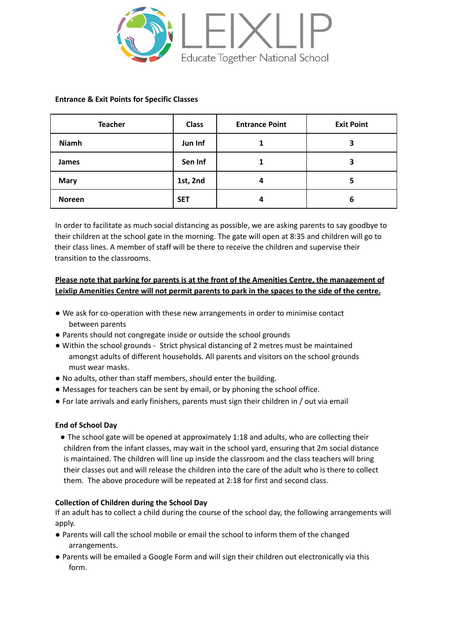

### **Entrance & Exit Points for Specific Classes**

| <b>Teacher</b> | <b>Class</b> | <b>Entrance Point</b> | <b>Exit Point</b> |
|----------------|--------------|-----------------------|-------------------|
| <b>Niamh</b>   | Jun Inf      |                       | 3                 |
| James          | Sen Inf      |                       | 3                 |
| <b>Mary</b>    | 1st, 2nd     | 4                     | 5                 |
| <b>Noreen</b>  | <b>SET</b>   | 4                     | 6                 |

In order to facilitate as much social distancing as possible, we are asking parents to say goodbye to their children at the school gate in the morning. The gate will open at 8:35 and children will go to their class lines. A member of staff will be there to receive the children and supervise their transition to the classrooms.

# **Please note that parking for parents is at the front of the Amenities Centre, the management of Leixlip Amenities Centre will not permit parents to park in the spaces to the side of the centre.**

- We ask for co-operation with these new arrangements in order to minimise contact between parents
- Parents should not congregate inside or outside the school grounds
- Within the school grounds Strict physical distancing of 2 metres must be maintained amongst adults of different households. All parents and visitors on the school grounds must wear masks.
- No adults, other than staff members, should enter the building.
- Messages for teachers can be sent by email, or by phoning the school office.
- For late arrivals and early finishers, parents must sign their children in / out via email

### **End of School Day**

● The school gate will be opened at approximately 1:18 and adults, who are collecting their children from the infant classes, may wait in the school yard, ensuring that 2m social distance is maintained. The children will line up inside the classroom and the class teachers will bring their classes out and will release the children into the care of the adult who is there to collect them. The above procedure will be repeated at 2:18 for first and second class.

### **Collection of Children during the School Day**

If an adult has to collect a child during the course of the school day, the following arrangements will apply.

- Parents will call the school mobile or email the school to inform them of the changed arrangements.
- Parents will be emailed a Google Form and will sign their children out electronically via this form.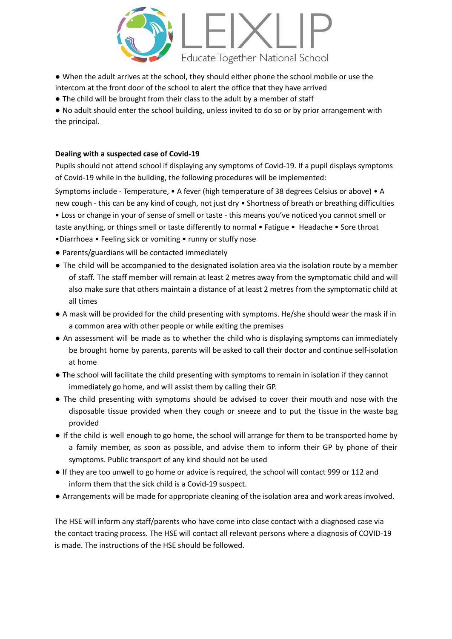

● When the adult arrives at the school, they should either phone the school mobile or use the intercom at the front door of the school to alert the office that they have arrived

● The child will be brought from their class to the adult by a member of staff

● No adult should enter the school building, unless invited to do so or by prior arrangement with the principal.

### **Dealing with a suspected case of Covid-19**

Pupils should not attend school if displaying any symptoms of Covid-19. If a pupil displays symptoms of Covid-19 while in the building, the following procedures will be implemented:

Symptoms include - Temperature, • A fever (high temperature of 38 degrees Celsius or above) • A new cough - this can be any kind of cough, not just dry • Shortness of breath or breathing difficulties

• Loss or change in your of sense of smell or taste - this means you've noticed you cannot smell or taste anything, or things smell or taste differently to normal • Fatigue • Headache • Sore throat •Diarrhoea • Feeling sick or vomiting • runny or stuffy nose

- Parents/guardians will be contacted immediately
- The child will be accompanied to the designated isolation area via the isolation route by a member of staff. The staff member will remain at least 2 metres away from the symptomatic child and will also make sure that others maintain a distance of at least 2 metres from the symptomatic child at all times
- A mask will be provided for the child presenting with symptoms. He/she should wear the mask if in a common area with other people or while exiting the premises
- An assessment will be made as to whether the child who is displaying symptoms can immediately be brought home by parents, parents will be asked to call their doctor and continue self-isolation at home
- The school will facilitate the child presenting with symptoms to remain in isolation if they cannot immediately go home, and will assist them by calling their GP.
- The child presenting with symptoms should be advised to cover their mouth and nose with the disposable tissue provided when they cough or sneeze and to put the tissue in the waste bag provided
- If the child is well enough to go home, the school will arrange for them to be transported home by a family member, as soon as possible, and advise them to inform their GP by phone of their symptoms. Public transport of any kind should not be used
- If they are too unwell to go home or advice is required, the school will contact 999 or 112 and inform them that the sick child is a Covid-19 suspect.
- Arrangements will be made for appropriate cleaning of the isolation area and work areas involved.

The HSE will inform any staff/parents who have come into close contact with a diagnosed case via the contact tracing process. The HSE will contact all relevant persons where a diagnosis of COVID-19 is made. The instructions of the HSE should be followed.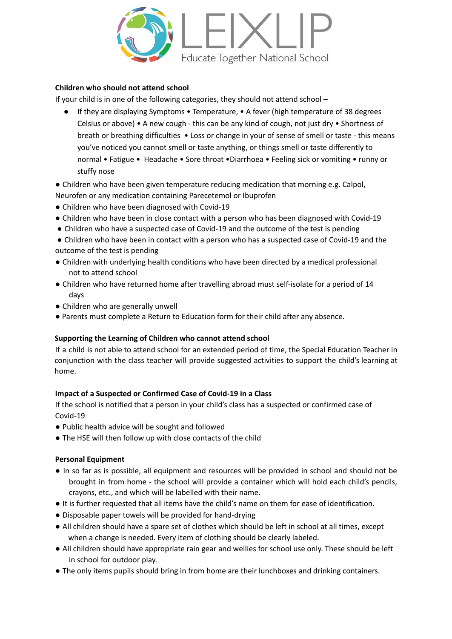

# **Children who should not attend school**

If your child is in one of the following categories, they should not attend school –

If they are displaying Symptoms • Temperature, • A fever (high temperature of 38 degrees Celsius or above) • A new cough - this can be any kind of cough, not just dry • Shortness of breath or breathing difficulties • Loss or change in your of sense of smell or taste - this means you've noticed you cannot smell or taste anything, or things smell or taste differently to normal • Fatigue • Headache • Sore throat •Diarrhoea • Feeling sick or vomiting • runny or stuffy nose

● Children who have been given temperature reducing medication that morning e.g. Calpol, Neurofen or any medication containing Parecetemol or Ibuprofen

- Children who have been diagnosed with Covid-19
- Children who have been in close contact with a person who has been diagnosed with Covid-19
- Children who have a suspected case of Covid-19 and the outcome of the test is pending
- Children who have been in contact with a person who has a suspected case of Covid-19 and the outcome of the test is pending
- Children with underlying health conditions who have been directed by a medical professional not to attend school
- Children who have returned home after travelling abroad must self-isolate for a period of 14 days
- Children who are generally unwell
- Parents must complete a Return to Education form for their child after any absence.

### **Supporting the Learning of Children who cannot attend school**

If a child is not able to attend school for an extended period of time, the Special Education Teacher in conjunction with the class teacher will provide suggested activities to support the child's learning at home.

# **Impact of a Suspected or Confirmed Case of Covid-19 in a Class**

If the school is notified that a person in your child's class has a suspected or confirmed case of Covid-19

- Public health advice will be sought and followed
- The HSE will then follow up with close contacts of the child

### **Personal Equipment**

- In so far as is possible, all equipment and resources will be provided in school and should not be brought in from home - the school will provide a container which will hold each child's pencils, crayons, etc., and which will be labelled with their name.
- It is further requested that all items have the child's name on them for ease of identification.
- Disposable paper towels will be provided for hand-drying
- All children should have a spare set of clothes which should be left in school at all times, except when a change is needed. Every item of clothing should be clearly labeled.
- All children should have appropriate rain gear and wellies for school use only. These should be left in school for outdoor play.
- The only items pupils should bring in from home are their lunchboxes and drinking containers.